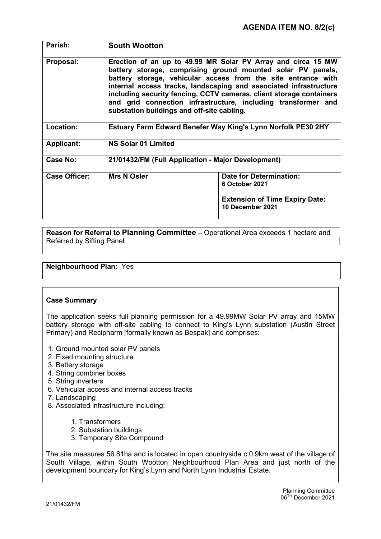| Parish:              | <b>South Wootton</b>                                                                                                                                                                                                                                                                                                                                                                                                                                    |                                                           |
|----------------------|---------------------------------------------------------------------------------------------------------------------------------------------------------------------------------------------------------------------------------------------------------------------------------------------------------------------------------------------------------------------------------------------------------------------------------------------------------|-----------------------------------------------------------|
| Proposal:            | Erection of an up to 49.99 MR Solar PV Array and circa 15 MW<br>battery storage, comprising ground mounted solar PV panels,<br>battery storage, vehicular access from the site entrance with<br>internal access tracks, landscaping and associated infrastructure<br>including security fencing, CCTV cameras, client storage containers<br>and grid connection infrastructure, including transformer and<br>substation buildings and off-site cabling. |                                                           |
| <b>Location:</b>     | Estuary Farm Edward Benefer Way King's Lynn Norfolk PE30 2HY                                                                                                                                                                                                                                                                                                                                                                                            |                                                           |
| <b>Applicant:</b>    | <b>NS Solar 01 Limited</b>                                                                                                                                                                                                                                                                                                                                                                                                                              |                                                           |
| <b>Case No:</b>      | 21/01432/FM (Full Application - Major Development)                                                                                                                                                                                                                                                                                                                                                                                                      |                                                           |
| <b>Case Officer:</b> | <b>Mrs N Osler</b>                                                                                                                                                                                                                                                                                                                                                                                                                                      | <b>Date for Determination:</b><br>6 October 2021          |
|                      |                                                                                                                                                                                                                                                                                                                                                                                                                                                         | <b>Extension of Time Expiry Date:</b><br>10 December 2021 |

Reason for Referral to Planning Committee – Operational Area exceeds 1 hectare and Referred by Sifting Panel

# Neighbourhood Plan: Yes

#### Case Summary

The application seeks full planning permission for a 49.99MW Solar PV array and 15MW battery storage with off-site cabling to connect to King's Lynn substation (Austin Street Primary) and Recipharm [formally known as Bespak] and comprises:

- 1. Ground mounted solar PV panels
- 2. Fixed mounting structure
- 3. Battery storage
- 4. String combiner boxes
- 5. String inverters
- 6. Vehicular access and internal access tracks
- 7. Landscaping
- 8. Associated infrastructure including:
	- 1. Transformers
	- 2. Substation buildings
	- 3. Temporary Site Compound

The site measures 56.81ha and is located in open countryside c.0.9km west of the village of South Village, within South Wootton Neighbourhood Plan Area and just north of the development boundary for King's Lynn and North Lynn Industrial Estate.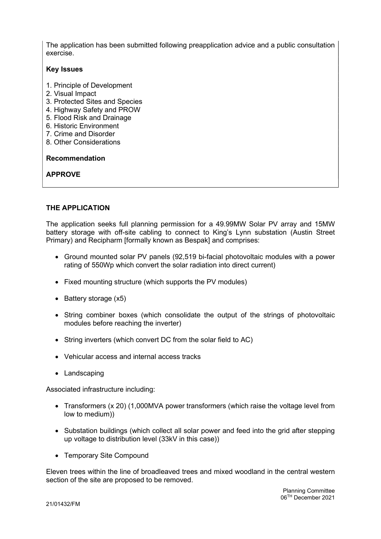The application has been submitted following preapplication advice and a public consultation exercise.

## Key Issues

- 1. Principle of Development
- 2. Visual Impact
- 3. Protected Sites and Species
- 4. Highway Safety and PROW
- 5. Flood Risk and Drainage
- 6. Historic Environment
- 7. Crime and Disorder
- 8. Other Considerations

### Recommendation

APPROVE

# THE APPI ICATION

The application seeks full planning permission for a 49.99MW Solar PV array and 15MW battery storage with off-site cabling to connect to King's Lynn substation (Austin Street Primary) and Recipharm [formally known as Bespak] and comprises:

- Ground mounted solar PV panels (92,519 bi-facial photovoltaic modules with a power rating of 550Wp which convert the solar radiation into direct current)
- Fixed mounting structure (which supports the PV modules)
- $\bullet$  Battery storage  $(x5)$
- String combiner boxes (which consolidate the output of the strings of photovoltaic modules before reaching the inverter)
- String inverters (which convert DC from the solar field to AC)
- Vehicular access and internal access tracks
- Landscaping

Associated infrastructure including:

- Transformers (x 20) (1,000MVA power transformers (which raise the voltage level from low to medium))
- Substation buildings (which collect all solar power and feed into the grid after stepping up voltage to distribution level (33kV in this case))
- Temporary Site Compound

Eleven trees within the line of broadleaved trees and mixed woodland in the central western section of the site are proposed to be removed.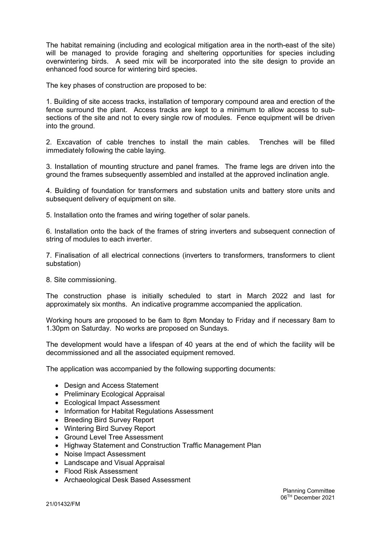The habitat remaining (including and ecological mitigation area in the north-east of the site) will be managed to provide foraging and sheltering opportunities for species including overwintering birds. A seed mix will be incorporated into the site design to provide an enhanced food source for wintering bird species.

The key phases of construction are proposed to be:

1. Building of site access tracks, installation of temporary compound area and erection of the fence surround the plant. Access tracks are kept to a minimum to allow access to subsections of the site and not to every single row of modules. Fence equipment will be driven into the ground.

2. Excavation of cable trenches to install the main cables. Trenches will be filled immediately following the cable laying.

3. Installation of mounting structure and panel frames. The frame legs are driven into the ground the frames subsequently assembled and installed at the approved inclination angle.

4. Building of foundation for transformers and substation units and battery store units and subsequent delivery of equipment on site.

5. Installation onto the frames and wiring together of solar panels.

6. Installation onto the back of the frames of string inverters and subsequent connection of string of modules to each inverter.

7. Finalisation of all electrical connections (inverters to transformers, transformers to client substation)

8. Site commissioning.

The construction phase is initially scheduled to start in March 2022 and last for approximately six months. An indicative programme accompanied the application.

Working hours are proposed to be 6am to 8pm Monday to Friday and if necessary 8am to 1.30pm on Saturday. No works are proposed on Sundays.

The development would have a lifespan of 40 years at the end of which the facility will be decommissioned and all the associated equipment removed.

The application was accompanied by the following supporting documents:

- Design and Access Statement
- Preliminary Ecological Appraisal
- Ecological Impact Assessment
- Information for Habitat Regulations Assessment
- Breeding Bird Survey Report
- Wintering Bird Survey Report
- Ground Level Tree Assessment
- Highway Statement and Construction Traffic Management Plan
- Noise Impact Assessment
- Landscape and Visual Appraisal
- Flood Risk Assessment
- Archaeological Desk Based Assessment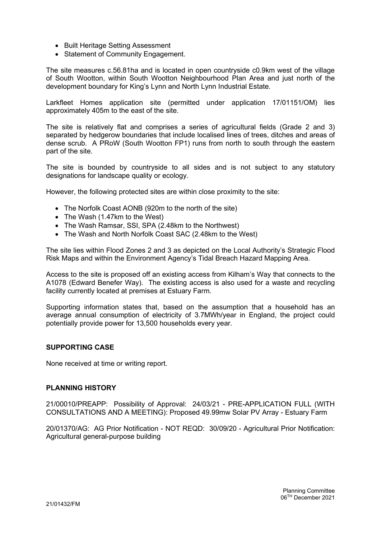- Built Heritage Setting Assessment
- Statement of Community Engagement.

The site measures c.56.81ha and is located in open countryside c0.9km west of the village of South Wootton, within South Wootton Neighbourhood Plan Area and just north of the development boundary for King's Lynn and North Lynn Industrial Estate.

Larkfleet Homes application site (permitted under application 17/01151/OM) lies approximately 405m to the east of the site.

The site is relatively flat and comprises a series of agricultural fields (Grade 2 and 3) separated by hedgerow boundaries that include localised lines of trees, ditches and areas of dense scrub. A PRoW (South Wootton FP1) runs from north to south through the eastern part of the site.

The site is bounded by countryside to all sides and is not subject to any statutory designations for landscape quality or ecology.

However, the following protected sites are within close proximity to the site:

- The Norfolk Coast AONB (920m to the north of the site)
- The Wash (1.47km to the West)
- The Wash Ramsar, SSI, SPA (2.48km to the Northwest)
- The Wash and North Norfolk Coast SAC (2.48km to the West)

The site lies within Flood Zones 2 and 3 as depicted on the Local Authority's Strategic Flood Risk Maps and within the Environment Agency's Tidal Breach Hazard Mapping Area.

Access to the site is proposed off an existing access from Kilham's Way that connects to the A1078 (Edward Benefer Way). The existing access is also used for a waste and recycling facility currently located at premises at Estuary Farm.

Supporting information states that, based on the assumption that a household has an average annual consumption of electricity of 3.7MWh/year in England, the project could potentially provide power for 13,500 households every year.

### SUPPORTING CASE

None received at time or writing report.

#### PLANNING HISTORY

21/00010/PREAPP: Possibility of Approval: 24/03/21 - PRE-APPLICATION FULL (WITH CONSULTATIONS AND A MEETING): Proposed 49.99mw Solar PV Array - Estuary Farm

20/01370/AG: AG Prior Notification - NOT REQD: 30/09/20 - Agricultural Prior Notification: Agricultural general-purpose building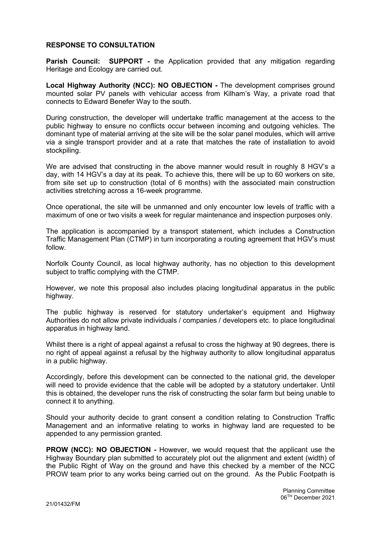## RESPONSE TO CONSULTATION

**Parish Council: SUPPORT** - the Application provided that any mitigation regarding Heritage and Ecology are carried out.

Local Highway Authority (NCC): NO OBJECTION - The development comprises ground mounted solar PV panels with vehicular access from Kilham's Way, a private road that connects to Edward Benefer Way to the south.

During construction, the developer will undertake traffic management at the access to the public highway to ensure no conflicts occur between incoming and outgoing vehicles. The dominant type of material arriving at the site will be the solar panel modules, which will arrive via a single transport provider and at a rate that matches the rate of installation to avoid stockpiling.

We are advised that constructing in the above manner would result in roughly 8 HGV's a day, with 14 HGV's a day at its peak. To achieve this, there will be up to 60 workers on site, from site set up to construction (total of 6 months) with the associated main construction activities stretching across a 16-week programme.

Once operational, the site will be unmanned and only encounter low levels of traffic with a maximum of one or two visits a week for regular maintenance and inspection purposes only.

The application is accompanied by a transport statement, which includes a Construction Traffic Management Plan (CTMP) in turn incorporating a routing agreement that HGV's must follow.

Norfolk County Council, as local highway authority, has no objection to this development subject to traffic complying with the CTMP.

However, we note this proposal also includes placing longitudinal apparatus in the public highway.

The public highway is reserved for statutory undertaker's equipment and Highway Authorities do not allow private individuals / companies / developers etc. to place longitudinal apparatus in highway land.

Whilst there is a right of appeal against a refusal to cross the highway at 90 degrees, there is no right of appeal against a refusal by the highway authority to allow longitudinal apparatus in a public highway.

Accordingly, before this development can be connected to the national grid, the developer will need to provide evidence that the cable will be adopted by a statutory undertaker. Until this is obtained, the developer runs the risk of constructing the solar farm but being unable to connect it to anything.

Should your authority decide to grant consent a condition relating to Construction Traffic Management and an informative relating to works in highway land are requested to be appended to any permission granted.

PROW (NCC): NO OBJECTION - However, we would request that the applicant use the Highway Boundary plan submitted to accurately plot out the alignment and extent (width) of the Public Right of Way on the ground and have this checked by a member of the NCC PROW team prior to any works being carried out on the ground. As the Public Footpath is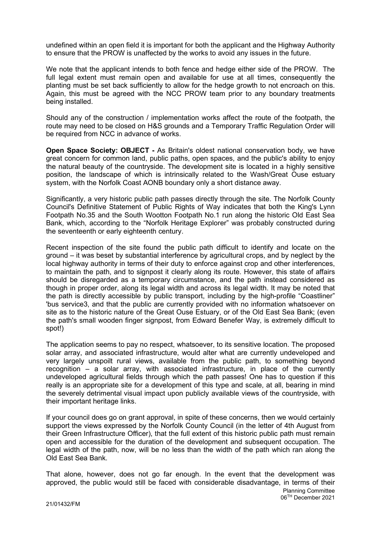undefined within an open field it is important for both the applicant and the Highway Authority to ensure that the PROW is unaffected by the works to avoid any issues in the future.

We note that the applicant intends to both fence and hedge either side of the PROW. The full legal extent must remain open and available for use at all times, consequently the planting must be set back sufficiently to allow for the hedge growth to not encroach on this. Again, this must be agreed with the NCC PROW team prior to any boundary treatments being installed.

Should any of the construction / implementation works affect the route of the footpath, the route may need to be closed on H&S grounds and a Temporary Traffic Regulation Order will be required from NCC in advance of works.

Open Space Society: OBJECT - As Britain's oldest national conservation body, we have great concern for common land, public paths, open spaces, and the public's ability to enjoy the natural beauty of the countryside. The development site is located in a highly sensitive position, the landscape of which is intrinsically related to the Wash/Great Ouse estuary system, with the Norfolk Coast AONB boundary only a short distance away.

Significantly, a very historic public path passes directly through the site. The Norfolk County Council's Definitive Statement of Public Rights of Way indicates that both the King's Lynn Footpath No.35 and the South Wootton Footpath No.1 run along the historic Old East Sea Bank, which, according to the "Norfolk Heritage Explorer" was probably constructed during the seventeenth or early eighteenth century.

Recent inspection of the site found the public path difficult to identify and locate on the ground – it was beset by substantial interference by agricultural crops, and by neglect by the local highway authority in terms of their duty to enforce against crop and other interferences, to maintain the path, and to signpost it clearly along its route. However, this state of affairs should be disregarded as a temporary circumstance, and the path instead considered as though in proper order, along its legal width and across its legal width. It may be noted that the path is directly accessible by public transport, including by the high-profile "Coastliner" 'bus service3, and that the public are currently provided with no information whatsoever on site as to the historic nature of the Great Ouse Estuary, or of the Old East Sea Bank; (even the path's small wooden finger signpost, from Edward Benefer Way, is extremely difficult to spot!)

The application seems to pay no respect, whatsoever, to its sensitive location. The proposed solar array, and associated infrastructure, would alter what are currently undeveloped and very largely unspoilt rural views, available from the public path, to something beyond recognition – a solar array, with associated infrastructure, in place of the currently undeveloped agricultural fields through which the path passes! One has to question if this really is an appropriate site for a development of this type and scale, at all, bearing in mind the severely detrimental visual impact upon publicly available views of the countryside, with their important heritage links.

If your council does go on grant approval, in spite of these concerns, then we would certainly support the views expressed by the Norfolk County Council (in the letter of 4th August from their Green Infrastructure Officer), that the full extent of this historic public path must remain open and accessible for the duration of the development and subsequent occupation. The legal width of the path, now, will be no less than the width of the path which ran along the Old East Sea Bank.

Planning Committee 06TH December 2021 That alone, however, does not go far enough. In the event that the development was approved, the public would still be faced with considerable disadvantage, in terms of their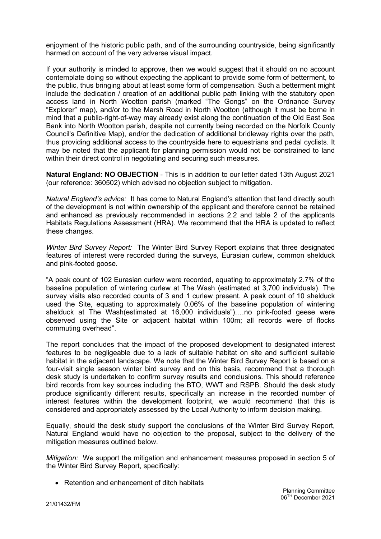enjoyment of the historic public path, and of the surrounding countryside, being significantly harmed on account of the very adverse visual impact.

If your authority is minded to approve, then we would suggest that it should on no account contemplate doing so without expecting the applicant to provide some form of betterment, to the public, thus bringing about at least some form of compensation. Such a betterment might include the dedication / creation of an additional public path linking with the statutory open access land in North Wootton parish (marked "The Gongs" on the Ordnance Survey "Explorer" map), and/or to the Marsh Road in North Wootton (although it must be borne in mind that a public-right-of-way may already exist along the continuation of the Old East Sea Bank into North Wootton parish, despite not currently being recorded on the Norfolk County Council's Definitive Map), and/or the dedication of additional bridleway rights over the path, thus providing additional access to the countryside here to equestrians and pedal cyclists. It may be noted that the applicant for planning permission would not be constrained to land within their direct control in negotiating and securing such measures.

Natural England: NO OBJECTION - This is in addition to our letter dated 13th August 2021 (our reference: 360502) which advised no objection subject to mitigation.

Natural England's advice: It has come to Natural England's attention that land directly south of the development is not within ownership of the applicant and therefore cannot be retained and enhanced as previously recommended in sections 2.2 and table 2 of the applicants Habitats Regulations Assessment (HRA). We recommend that the HRA is updated to reflect these changes.

Winter Bird Survey Report: The Winter Bird Survey Report explains that three designated features of interest were recorded during the surveys, Eurasian curlew, common shelduck and pink-footed goose.

"A peak count of 102 Eurasian curlew were recorded, equating to approximately 2.7% of the baseline population of wintering curlew at The Wash (estimated at 3,700 individuals). The survey visits also recorded counts of 3 and 1 curlew present. A peak count of 10 shelduck used the Site, equating to approximately 0.06% of the baseline population of wintering shelduck at The Wash(estimated at 16,000 individuals").…no pink-footed geese were observed using the Site or adjacent habitat within 100m; all records were of flocks commuting overhead".

The report concludes that the impact of the proposed development to designated interest features to be negligeable due to a lack of suitable habitat on site and sufficient suitable habitat in the adjacent landscape. We note that the Winter Bird Survey Report is based on a four-visit single season winter bird survey and on this basis, recommend that a thorough desk study is undertaken to confirm survey results and conclusions. This should reference bird records from key sources including the BTO, WWT and RSPB. Should the desk study produce significantly different results, specifically an increase in the recorded number of interest features within the development footprint, we would recommend that this is considered and appropriately assessed by the Local Authority to inform decision making.

Equally, should the desk study support the conclusions of the Winter Bird Survey Report, Natural England would have no objection to the proposal, subject to the delivery of the mitigation measures outlined below.

Mitigation: We support the mitigation and enhancement measures proposed in section 5 of the Winter Bird Survey Report, specifically:

• Retention and enhancement of ditch habitats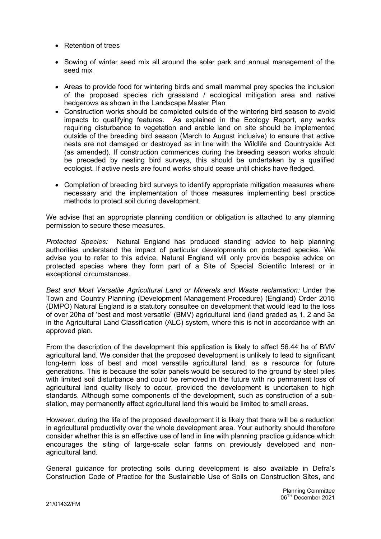- Retention of trees
- Sowing of winter seed mix all around the solar park and annual management of the seed mix
- Areas to provide food for wintering birds and small mammal prey species the inclusion of the proposed species rich grassland / ecological mitigation area and native hedgerows as shown in the Landscape Master Plan
- Construction works should be completed outside of the wintering bird season to avoid impacts to qualifying features. As explained in the Ecology Report, any works requiring disturbance to vegetation and arable land on site should be implemented outside of the breeding bird season (March to August inclusive) to ensure that active nests are not damaged or destroyed as in line with the Wildlife and Countryside Act (as amended). If construction commences during the breeding season works should be preceded by nesting bird surveys, this should be undertaken by a qualified ecologist. If active nests are found works should cease until chicks have fledged.
- Completion of breeding bird surveys to identify appropriate mitigation measures where necessary and the implementation of those measures implementing best practice methods to protect soil during development.

We advise that an appropriate planning condition or obligation is attached to any planning permission to secure these measures.

Protected Species: Natural England has produced standing advice to help planning authorities understand the impact of particular developments on protected species. We advise you to refer to this advice. Natural England will only provide bespoke advice on protected species where they form part of a Site of Special Scientific Interest or in exceptional circumstances.

Best and Most Versatile Agricultural Land or Minerals and Waste reclamation: Under the Town and Country Planning (Development Management Procedure) (England) Order 2015 (DMPO) Natural England is a statutory consultee on development that would lead to the loss of over 20ha of 'best and most versatile' (BMV) agricultural land (land graded as 1, 2 and 3a in the Agricultural Land Classification (ALC) system, where this is not in accordance with an approved plan.

From the description of the development this application is likely to affect 56.44 ha of BMV agricultural land. We consider that the proposed development is unlikely to lead to significant long-term loss of best and most versatile agricultural land, as a resource for future generations. This is because the solar panels would be secured to the ground by steel piles with limited soil disturbance and could be removed in the future with no permanent loss of agricultural land quality likely to occur, provided the development is undertaken to high standards. Although some components of the development, such as construction of a substation, may permanently affect agricultural land this would be limited to small areas.

However, during the life of the proposed development it is likely that there will be a reduction in agricultural productivity over the whole development area. Your authority should therefore consider whether this is an effective use of land in line with planning practice guidance which encourages the siting of large-scale solar farms on previously developed and nonagricultural land.

General guidance for protecting soils during development is also available in Defra's Construction Code of Practice for the Sustainable Use of Soils on Construction Sites, and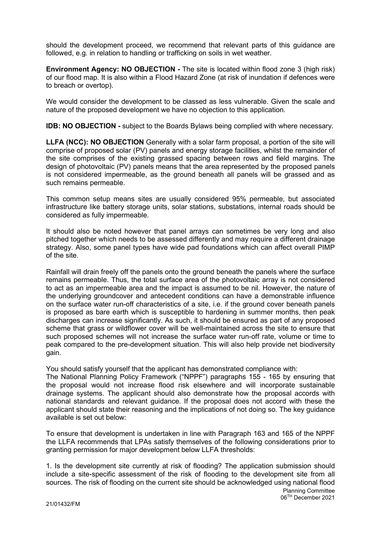should the development proceed, we recommend that relevant parts of this guidance are followed, e.g. in relation to handling or trafficking on soils in wet weather.

Environment Agency: NO OBJECTION - The site is located within flood zone 3 (high risk) of our flood map. It is also within a Flood Hazard Zone (at risk of inundation if defences were to breach or overtop).

We would consider the development to be classed as less vulnerable. Given the scale and nature of the proposed development we have no objection to this application.

IDB: NO OBJECTION - subject to the Boards Bylaws being complied with where necessary.

LLFA (NCC): NO OBJECTION Generally with a solar farm proposal, a portion of the site will comprise of proposed solar (PV) panels and energy storage facilities, whilst the remainder of the site comprises of the existing grassed spacing between rows and field margins. The design of photovoltaic (PV) panels means that the area represented by the proposed panels is not considered impermeable, as the ground beneath all panels will be grassed and as such remains permeable.

This common setup means sites are usually considered 95% permeable, but associated infrastructure like battery storage units, solar stations, substations, internal roads should be considered as fully impermeable.

It should also be noted however that panel arrays can sometimes be very long and also pitched together which needs to be assessed differently and may require a different drainage strategy. Also, some panel types have wide pad foundations which can affect overall PIMP of the site.

Rainfall will drain freely off the panels onto the ground beneath the panels where the surface remains permeable. Thus, the total surface area of the photovoltaic array is not considered to act as an impermeable area and the impact is assumed to be nil. However, the nature of the underlying groundcover and antecedent conditions can have a demonstrable influence on the surface water run-off characteristics of a site, i.e. if the ground cover beneath panels is proposed as bare earth which is susceptible to hardening in summer months, then peak discharges can increase significantly. As such, it should be ensured as part of any proposed scheme that grass or wildflower cover will be well-maintained across the site to ensure that such proposed schemes will not increase the surface water run-off rate, volume or time to peak compared to the pre-development situation. This will also help provide net biodiversity gain.

You should satisfy yourself that the applicant has demonstrated compliance with:

The National Planning Policy Framework ("NPPF") paragraphs 155 - 165 by ensuring that the proposal would not increase flood risk elsewhere and will incorporate sustainable drainage systems. The applicant should also demonstrate how the proposal accords with national standards and relevant guidance. If the proposal does not accord with these the applicant should state their reasoning and the implications of not doing so. The key guidance available is set out below:

To ensure that development is undertaken in line with Paragraph 163 and 165 of the NPPF the LLFA recommends that LPAs satisfy themselves of the following considerations prior to granting permission for major development below LLFA thresholds:

Planning Committee 06TH December 2021 1. Is the development site currently at risk of flooding? The application submission should include a site-specific assessment of the risk of flooding to the development site from all sources. The risk of flooding on the current site should be acknowledged using national flood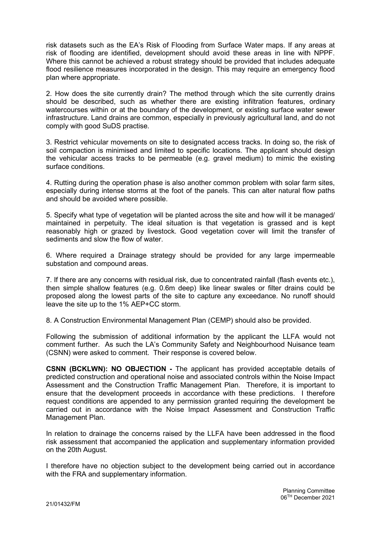risk datasets such as the EA's Risk of Flooding from Surface Water maps. If any areas at risk of flooding are identified, development should avoid these areas in line with NPPF. Where this cannot be achieved a robust strategy should be provided that includes adequate flood resilience measures incorporated in the design. This may require an emergency flood plan where appropriate.

2. How does the site currently drain? The method through which the site currently drains should be described, such as whether there are existing infiltration features, ordinary watercourses within or at the boundary of the development, or existing surface water sewer infrastructure. Land drains are common, especially in previously agricultural land, and do not comply with good SuDS practise.

3. Restrict vehicular movements on site to designated access tracks. In doing so, the risk of soil compaction is minimised and limited to specific locations. The applicant should design the vehicular access tracks to be permeable (e.g. gravel medium) to mimic the existing surface conditions.

4. Rutting during the operation phase is also another common problem with solar farm sites, especially during intense storms at the foot of the panels. This can alter natural flow paths and should be avoided where possible.

5. Specify what type of vegetation will be planted across the site and how will it be managed/ maintained in perpetuity. The ideal situation is that vegetation is grassed and is kept reasonably high or grazed by livestock. Good vegetation cover will limit the transfer of sediments and slow the flow of water.

6. Where required a Drainage strategy should be provided for any large impermeable substation and compound areas.

7. If there are any concerns with residual risk, due to concentrated rainfall (flash events etc.), then simple shallow features (e.g. 0.6m deep) like linear swales or filter drains could be proposed along the lowest parts of the site to capture any exceedance. No runoff should leave the site up to the 1% AEP+CC storm.

8. A Construction Environmental Management Plan (CEMP) should also be provided.

Following the submission of additional information by the applicant the LLFA would not comment further. As such the LA's Community Safety and Neighbourhood Nuisance team (CSNN) were asked to comment. Their response is covered below.

CSNN (BCKLWN): NO OBJECTION - The applicant has provided acceptable details of predicted construction and operational noise and associated controls within the Noise Impact Assessment and the Construction Traffic Management Plan. Therefore, it is important to ensure that the development proceeds in accordance with these predictions. I therefore request conditions are appended to any permission granted requiring the development be carried out in accordance with the Noise Impact Assessment and Construction Traffic Management Plan.

In relation to drainage the concerns raised by the LLFA have been addressed in the flood risk assessment that accompanied the application and supplementary information provided on the 20th August.

I therefore have no objection subject to the development being carried out in accordance with the FRA and supplementary information.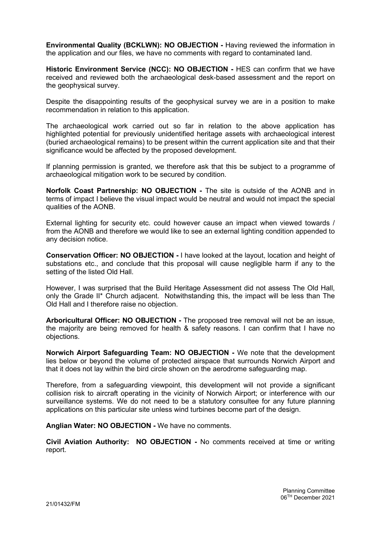Environmental Quality (BCKLWN): NO OBJECTION - Having reviewed the information in the application and our files, we have no comments with regard to contaminated land.

Historic Environment Service (NCC): NO OBJECTION - HES can confirm that we have received and reviewed both the archaeological desk-based assessment and the report on the geophysical survey.

Despite the disappointing results of the geophysical survey we are in a position to make recommendation in relation to this application.

The archaeological work carried out so far in relation to the above application has highlighted potential for previously unidentified heritage assets with archaeological interest (buried archaeological remains) to be present within the current application site and that their significance would be affected by the proposed development.

If planning permission is granted, we therefore ask that this be subject to a programme of archaeological mitigation work to be secured by condition.

Norfolk Coast Partnership: NO OBJECTION - The site is outside of the AONB and in terms of impact I believe the visual impact would be neutral and would not impact the special qualities of the AONB.

External lighting for security etc. could however cause an impact when viewed towards / from the AONB and therefore we would like to see an external lighting condition appended to any decision notice.

Conservation Officer: NO OBJECTION - I have looked at the layout, location and height of substations etc., and conclude that this proposal will cause negligible harm if any to the setting of the listed Old Hall.

However, I was surprised that the Build Heritage Assessment did not assess The Old Hall, only the Grade II\* Church adjacent. Notwithstanding this, the impact will be less than The Old Hall and I therefore raise no objection.

Arboricultural Officer: NO OBJECTION - The proposed tree removal will not be an issue, the majority are being removed for health & safety reasons. I can confirm that I have no objections.

Norwich Airport Safeguarding Team: NO OBJECTION - We note that the development lies below or beyond the volume of protected airspace that surrounds Norwich Airport and that it does not lay within the bird circle shown on the aerodrome safeguarding map.

Therefore, from a safeguarding viewpoint, this development will not provide a significant collision risk to aircraft operating in the vicinity of Norwich Airport; or interference with our surveillance systems. We do not need to be a statutory consultee for any future planning applications on this particular site unless wind turbines become part of the design.

Anglian Water: NO OBJECTION - We have no comments.

Civil Aviation Authority: NO OBJECTION - No comments received at time or writing report.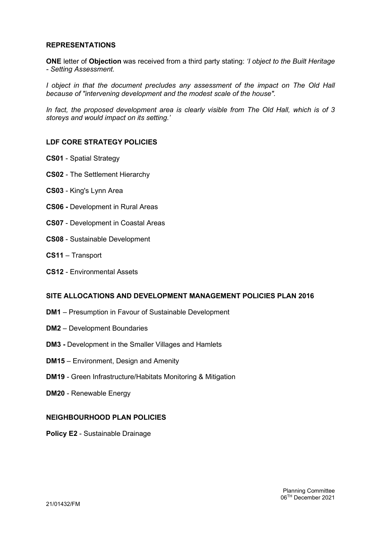## REPRESENTATIONS

ONE letter of Objection was received from a third party stating: *'I object to the Built Heritage* - Setting Assessment.

I object in that the document precludes any assessment of the impact on The Old Hall because of "intervening development and the modest scale of the house".

In fact, the proposed development area is clearly visible from The Old Hall, which is of 3 storeys and would impact on its setting.'

### LDF CORE STRATEGY POLICIES

- CS01 Spatial Strategy
- CS02 The Settlement Hierarchy
- CS03 King's Lynn Area
- CS06 Development in Rural Areas
- CS07 Development in Coastal Areas
- CS08 Sustainable Development
- CS11 Transport
- CS12 Environmental Assets

#### SITE ALLOCATIONS AND DEVELOPMENT MANAGEMENT POLICIES PLAN 2016

- DM1 Presumption in Favour of Sustainable Development
- DM2 Development Boundaries
- DM3 Development in the Smaller Villages and Hamlets
- DM15 Environment, Design and Amenity
- DM19 Green Infrastructure/Habitats Monitoring & Mitigation
- DM20 Renewable Energy

## NEIGHBOURHOOD PLAN POLICIES

Policy E2 - Sustainable Drainage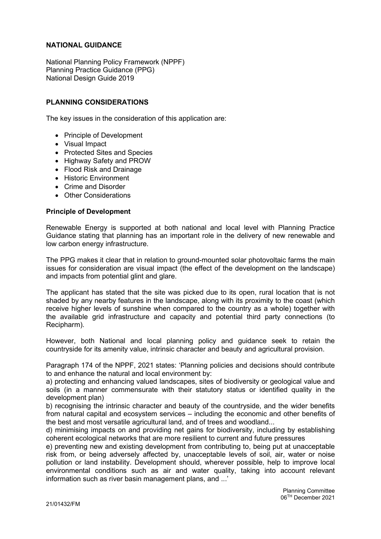# NATIONAL GUIDANCE

National Planning Policy Framework (NPPF) Planning Practice Guidance (PPG) National Design Guide 2019

# PLANNING CONSIDERATIONS

The key issues in the consideration of this application are:

- Principle of Development
- Visual Impact
- Protected Sites and Species
- Highway Safety and PROW
- Flood Risk and Drainage
- **•** Historic Environment
- Crime and Disorder
- Other Considerations

### Principle of Development

Renewable Energy is supported at both national and local level with Planning Practice Guidance stating that planning has an important role in the delivery of new renewable and low carbon energy infrastructure.

The PPG makes it clear that in relation to ground-mounted solar photovoltaic farms the main issues for consideration are visual impact (the effect of the development on the landscape) and impacts from potential glint and glare.

The applicant has stated that the site was picked due to its open, rural location that is not shaded by any nearby features in the landscape, along with its proximity to the coast (which receive higher levels of sunshine when compared to the country as a whole) together with the available grid infrastructure and capacity and potential third party connections (to Recipharm).

However, both National and local planning policy and guidance seek to retain the countryside for its amenity value, intrinsic character and beauty and agricultural provision.

Paragraph 174 of the NPPF, 2021 states: 'Planning policies and decisions should contribute to and enhance the natural and local environment by:

a) protecting and enhancing valued landscapes, sites of biodiversity or geological value and soils (in a manner commensurate with their statutory status or identified quality in the development plan)

b) recognising the intrinsic character and beauty of the countryside, and the wider benefits from natural capital and ecosystem services – including the economic and other benefits of the best and most versatile agricultural land, and of trees and woodland...

d) minimising impacts on and providing net gains for biodiversity, including by establishing coherent ecological networks that are more resilient to current and future pressures

e) preventing new and existing development from contributing to, being put at unacceptable risk from, or being adversely affected by, unacceptable levels of soil, air, water or noise pollution or land instability. Development should, wherever possible, help to improve local environmental conditions such as air and water quality, taking into account relevant information such as river basin management plans, and ...'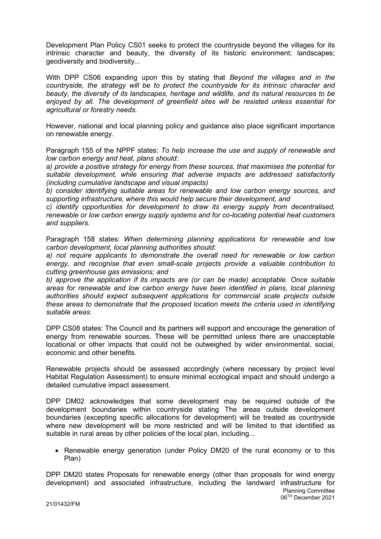Development Plan Policy CS01 seeks to protect the countryside beyond the villages for its intrinsic character and beauty, the diversity of its historic environment; landscapes; geodiversity and biodiversity...

With DPP CS06 expanding upon this by stating that Beyond the villages and in the countryside, the strategy will be to protect the countryside for its intrinsic character and beauty, the diversity of its landscapes, heritage and wildlife, and its natural resources to be enjoyed by all. The development of greenfield sites will be resisted unless essential for agricultural or forestry needs.

However, national and local planning policy and guidance also place significant importance on renewable energy.

Paragraph 155 of the NPPF states: To help increase the use and supply of renewable and low carbon energy and heat, plans should:

a) provide a positive strategy for energy from these sources, that maximises the potential for suitable development, while ensuring that adverse impacts are addressed satisfactorily (including cumulative landscape and visual impacts)

b) consider identifying suitable areas for renewable and low carbon energy sources, and supporting infrastructure, where this would help secure their development, and

c) identify opportunities for development to draw its energy supply from decentralised, renewable or low carbon energy supply systems and for co-locating potential heat customers and suppliers.

Paragraph 158 states: When determining planning applications for renewable and low carbon development, local planning authorities should:

a) not require applicants to demonstrate the overall need for renewable or low carbon energy, and recognise that even small-scale projects provide a valuable contribution to cutting greenhouse gas emissions; and

b) approve the application if its impacts are (or can be made) acceptable. Once suitable areas for renewable and low carbon energy have been identified in plans, local planning authorities should expect subsequent applications for commercial scale projects outside these areas to demonstrate that the proposed location meets the criteria used in identifying suitable areas.

DPP CS08 states: The Council and its partners will support and encourage the generation of energy from renewable sources. These will be permitted unless there are unacceptable locational or other impacts that could not be outweighed by wider environmental, social, economic and other benefits.

Renewable projects should be assessed accordingly (where necessary by project level Habitat Regulation Assessment) to ensure minimal ecological impact and should undergo a detailed cumulative impact assessment.

DPP DM02 acknowledges that some development may be required outside of the development boundaries within countryside stating The areas outside development boundaries (excepting specific allocations for development) will be treated as countryside where new development will be more restricted and will be limited to that identified as suitable in rural areas by other policies of the local plan, including...

• Renewable energy generation (under Policy DM20 of the rural economy or to this Plan)

Planning Committee 06TH December 2021 DPP DM20 states Proposals for renewable energy (other than proposals for wind energy development) and associated infrastructure, including the landward infrastructure for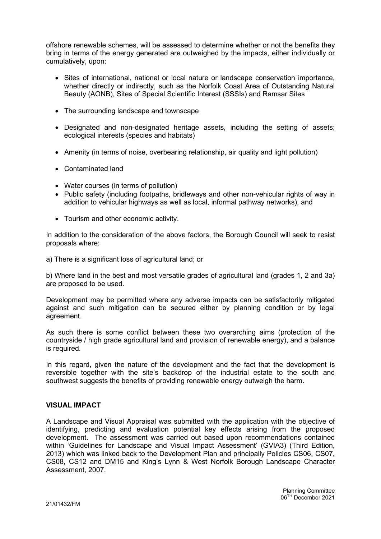offshore renewable schemes, will be assessed to determine whether or not the benefits they bring in terms of the energy generated are outweighed by the impacts, either individually or cumulatively, upon:

- Sites of international, national or local nature or landscape conservation importance, whether directly or indirectly, such as the Norfolk Coast Area of Outstanding Natural Beauty (AONB), Sites of Special Scientific Interest (SSSIs) and Ramsar Sites
- The surrounding landscape and townscape
- Designated and non-designated heritage assets, including the setting of assets; ecological interests (species and habitats)
- Amenity (in terms of noise, overbearing relationship, air quality and light pollution)
- Contaminated land
- Water courses (in terms of pollution)
- Public safety (including footpaths, bridleways and other non-vehicular rights of way in addition to vehicular highways as well as local, informal pathway networks), and
- Tourism and other economic activity.

In addition to the consideration of the above factors, the Borough Council will seek to resist proposals where:

a) There is a significant loss of agricultural land; or

b) Where land in the best and most versatile grades of agricultural land (grades 1, 2 and 3a) are proposed to be used.

Development may be permitted where any adverse impacts can be satisfactorily mitigated against and such mitigation can be secured either by planning condition or by legal agreement.

As such there is some conflict between these two overarching aims (protection of the countryside / high grade agricultural land and provision of renewable energy), and a balance is required.

In this regard, given the nature of the development and the fact that the development is reversible together with the site's backdrop of the industrial estate to the south and southwest suggests the benefits of providing renewable energy outweigh the harm.

## VISUAL IMPACT

A Landscape and Visual Appraisal was submitted with the application with the objective of identifying, predicting and evaluation potential key effects arising from the proposed development. The assessment was carried out based upon recommendations contained within 'Guidelines for Landscape and Visual Impact Assessment' (GVIA3) (Third Edition, 2013) which was linked back to the Development Plan and principally Policies CS06, CS07, CS08, CS12 and DM15 and King's Lynn & West Norfolk Borough Landscape Character Assessment, 2007.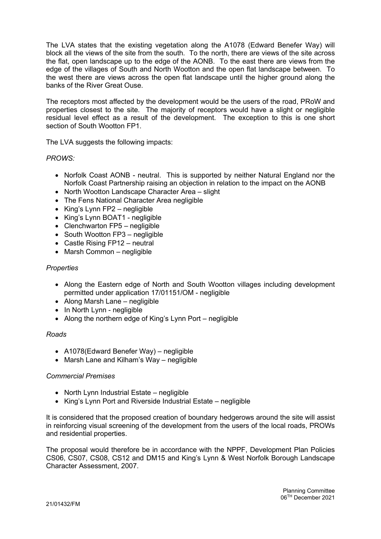The LVA states that the existing vegetation along the A1078 (Edward Benefer Way) will block all the views of the site from the south. To the north, there are views of the site across the flat, open landscape up to the edge of the AONB. To the east there are views from the edge of the villages of South and North Wootton and the open flat landscape between. To the west there are views across the open flat landscape until the higher ground along the banks of the River Great Ouse.

The receptors most affected by the development would be the users of the road, PRoW and properties closest to the site. The majority of receptors would have a slight or negligible residual level effect as a result of the development. The exception to this is one short section of South Wootton FP1.

The LVA suggests the following impacts:

# PROWS:

- Norfolk Coast AONB neutral. This is supported by neither Natural England nor the Norfolk Coast Partnership raising an objection in relation to the impact on the AONB
- North Wootton Landscape Character Area slight
- The Fens National Character Area negligible
- $\bullet$  King's Lynn FP2 negligible
- King's Lynn BOAT1 negligible
- Clenchwarton FP5 negligible
- South Wootton FP3 negligible
- Castle Rising FP12 neutral
- Marsh Common negligible

### **Properties**

- Along the Eastern edge of North and South Wootton villages including development permitted under application 17/01151/OM - negligible
- Along Marsh Lane negligible
- In North Lynn negligible
- Along the northern edge of King's Lynn Port negligible

#### Roads

- A1078(Edward Benefer Way) negligible
- Marsh Lane and Kilham's Way negligible

### Commercial Premises

- North Lynn Industrial Estate negligible
- King's Lynn Port and Riverside Industrial Estate negligible

It is considered that the proposed creation of boundary hedgerows around the site will assist in reinforcing visual screening of the development from the users of the local roads, PROWs and residential properties.

The proposal would therefore be in accordance with the NPPF, Development Plan Policies CS06, CS07, CS08, CS12 and DM15 and King's Lynn & West Norfolk Borough Landscape Character Assessment, 2007.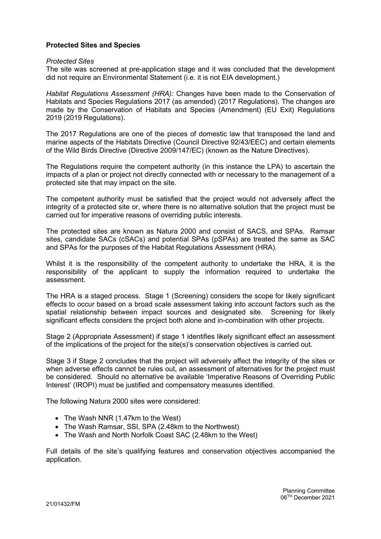# Protected Sites and Species

#### Protected Sites

The site was screened at pre-application stage and it was concluded that the development did not require an Environmental Statement (i.e. it is not EIA development.)

Habitat Regulations Assessment (HRA): Changes have been made to the Conservation of Habitats and Species Regulations 2017 (as amended) (2017 Regulations). The changes are made by the Conservation of Habitats and Species (Amendment) (EU Exit) Regulations 2019 (2019 Regulations).

The 2017 Regulations are one of the pieces of domestic law that transposed the land and marine aspects of the Habitats Directive (Council Directive 92/43/EEC) and certain elements of the Wild Birds Directive (Directive 2009/147/EC) (known as the Nature Directives).

The Regulations require the competent authority (in this instance the LPA) to ascertain the impacts of a plan or project not directly connected with or necessary to the management of a protected site that may impact on the site.

The competent authority must be satisfied that the project would not adversely affect the integrity of a protected site or, where there is no alternative solution that the project must be carried out for imperative reasons of overriding public interests.

The protected sites are known as Natura 2000 and consist of SACS, and SPAs. Ramsar sites, candidate SACs (cSACs) and potential SPAs (pSPAs) are treated the same as SAC and SPAs for the purposes of the Habitat Regulations Assessment (HRA).

Whilst it is the responsibility of the competent authority to undertake the HRA, it is the responsibility of the applicant to supply the information required to undertake the assessment.

The HRA is a staged process. Stage 1 (Screening) considers the scope for likely significant effects to occur based on a broad scale assessment taking into account factors such as the spatial relationship between impact sources and designated site. Screening for likely significant effects considers the project both alone and in-combination with other projects.

Stage 2 (Appropriate Assessment) if stage 1 identifies likely significant effect an assessment of the implications of the project for the site(s)'s conservation objectives is carried out.

Stage 3 if Stage 2 concludes that the project will adversely affect the integrity of the sites or when adverse effects cannot be rules out, an assessment of alternatives for the project must be considered. Should no alternative be available 'Imperative Reasons of Overriding Public Interest' (IROPI) must be justified and compensatory measures identified.

The following Natura 2000 sites were considered:

- The Wash NNR (1.47km to the West)
- The Wash Ramsar, SSI, SPA (2.48km to the Northwest)
- The Wash and North Norfolk Coast SAC (2.48km to the West)

Full details of the site's qualifying features and conservation objectives accompanied the application.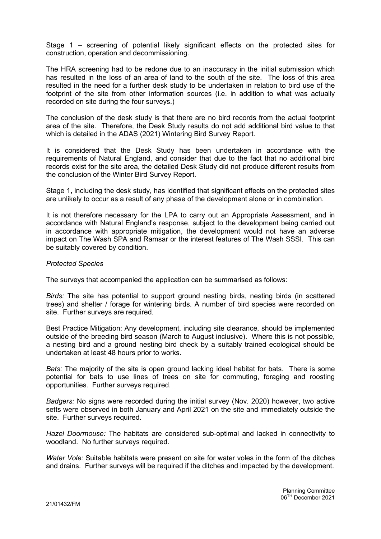Stage 1 – screening of potential likely significant effects on the protected sites for construction, operation and decommissioning.

The HRA screening had to be redone due to an inaccuracy in the initial submission which has resulted in the loss of an area of land to the south of the site. The loss of this area resulted in the need for a further desk study to be undertaken in relation to bird use of the footprint of the site from other information sources (i.e. in addition to what was actually recorded on site during the four surveys.)

The conclusion of the desk study is that there are no bird records from the actual footprint area of the site. Therefore, the Desk Study results do not add additional bird value to that which is detailed in the ADAS (2021) Wintering Bird Survey Report.

It is considered that the Desk Study has been undertaken in accordance with the requirements of Natural England, and consider that due to the fact that no additional bird records exist for the site area, the detailed Desk Study did not produce different results from the conclusion of the Winter Bird Survey Report.

Stage 1, including the desk study, has identified that significant effects on the protected sites are unlikely to occur as a result of any phase of the development alone or in combination.

It is not therefore necessary for the LPA to carry out an Appropriate Assessment, and in accordance with Natural England's response, subject to the development being carried out in accordance with appropriate mitigation, the development would not have an adverse impact on The Wash SPA and Ramsar or the interest features of The Wash SSSI. This can be suitably covered by condition.

### Protected Species

The surveys that accompanied the application can be summarised as follows:

Birds: The site has potential to support ground nesting birds, nesting birds (in scattered trees) and shelter / forage for wintering birds. A number of bird species were recorded on site. Further surveys are required.

Best Practice Mitigation: Any development, including site clearance, should be implemented outside of the breeding bird season (March to August inclusive). Where this is not possible, a nesting bird and a ground nesting bird check by a suitably trained ecological should be undertaken at least 48 hours prior to works.

Bats: The majority of the site is open ground lacking ideal habitat for bats. There is some potential for bats to use lines of trees on site for commuting, foraging and roosting opportunities. Further surveys required.

Badgers: No signs were recorded during the initial survey (Nov. 2020) however, two active setts were observed in both January and April 2021 on the site and immediately outside the site. Further surveys required.

Hazel Doormouse: The habitats are considered sub-optimal and lacked in connectivity to woodland. No further surveys required.

Water Vole: Suitable habitats were present on site for water voles in the form of the ditches and drains. Further surveys will be required if the ditches and impacted by the development.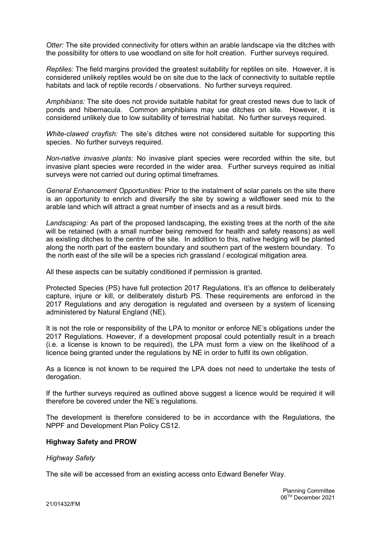Otter: The site provided connectivity for otters within an arable landscape via the ditches with the possibility for otters to use woodland on site for holt creation. Further surveys required.

Reptiles: The field margins provided the greatest suitability for reptiles on site. However, it is considered unlikely reptiles would be on site due to the lack of connectivity to suitable reptile habitats and lack of reptile records / observations. No further surveys required.

Amphibians: The site does not provide suitable habitat for great crested news due to lack of ponds and hibernacula. Common amphibians may use ditches on site. However, it is considered unlikely due to low suitability of terrestrial habitat. No further surveys required.

White-clawed crayfish: The site's ditches were not considered suitable for supporting this species. No further surveys required.

Non-native invasive plants: No invasive plant species were recorded within the site, but invasive plant species were recorded in the wider area. Further surveys required as initial surveys were not carried out during optimal timeframes.

General Enhancement Opportunities: Prior to the instalment of solar panels on the site there is an opportunity to enrich and diversify the site by sowing a wildflower seed mix to the arable land which will attract a great number of insects and as a result birds.

Landscaping: As part of the proposed landscaping, the existing trees at the north of the site will be retained (with a small number being removed for health and safety reasons) as well as existing ditches to the centre of the site. In addition to this, native hedging will be planted along the north part of the eastern boundary and southern part of the western boundary. To the north east of the site will be a species rich grassland / ecological mitigation area.

All these aspects can be suitably conditioned if permission is granted.

Protected Species (PS) have full protection 2017 Regulations. It's an offence to deliberately capture, injure or kill, or deliberately disturb PS. These requirements are enforced in the 2017 Regulations and any derogation is regulated and overseen by a system of licensing administered by Natural England (NE).

It is not the role or responsibility of the LPA to monitor or enforce NE's obligations under the 2017 Regulations. However, if a development proposal could potentially result in a breach (i.e. a license is known to be required), the LPA must form a view on the likelihood of a licence being granted under the regulations by NE in order to fulfil its own obligation.

As a licence is not known to be required the LPA does not need to undertake the tests of derogation.

If the further surveys required as outlined above suggest a licence would be required it will therefore be covered under the NE's regulations.

The development is therefore considered to be in accordance with the Regulations, the NPPF and Development Plan Policy CS12.

#### Highway Safety and PROW

#### **Highway Safety**

The site will be accessed from an existing access onto Edward Benefer Way.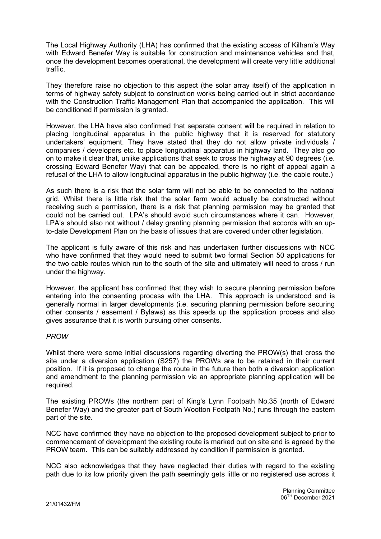The Local Highway Authority (LHA) has confirmed that the existing access of Kilham's Way with Edward Benefer Way is suitable for construction and maintenance vehicles and that, once the development becomes operational, the development will create very little additional traffic.

They therefore raise no objection to this aspect (the solar array itself) of the application in terms of highway safety subject to construction works being carried out in strict accordance with the Construction Traffic Management Plan that accompanied the application. This will be conditioned if permission is granted.

However, the LHA have also confirmed that separate consent will be required in relation to placing longitudinal apparatus in the public highway that it is reserved for statutory undertakers' equipment. They have stated that they do not allow private individuals / companies / developers etc. to place longitudinal apparatus in highway land. They also go on to make it clear that, unlike applications that seek to cross the highway at 90 degrees (i.e. crossing Edward Benefer Way) that can be appealed, there is no right of appeal again a refusal of the LHA to allow longitudinal apparatus in the public highway (i.e. the cable route.)

As such there is a risk that the solar farm will not be able to be connected to the national grid. Whilst there is little risk that the solar farm would actually be constructed without receiving such a permission, there is a risk that planning permission may be granted that could not be carried out. LPA's should avoid such circumstances where it can. However, LPA's should also not without / delay granting planning permission that accords with an upto-date Development Plan on the basis of issues that are covered under other legislation.

The applicant is fully aware of this risk and has undertaken further discussions with NCC who have confirmed that they would need to submit two formal Section 50 applications for the two cable routes which run to the south of the site and ultimately will need to cross / run under the highway.

However, the applicant has confirmed that they wish to secure planning permission before entering into the consenting process with the LHA. This approach is understood and is generally normal in larger developments (i.e. securing planning permission before securing other consents / easement / Bylaws) as this speeds up the application process and also gives assurance that it is worth pursuing other consents.

# PROW

Whilst there were some initial discussions regarding diverting the PROW(s) that cross the site under a diversion application (S257) the PROWs are to be retained in their current position. If it is proposed to change the route in the future then both a diversion application and amendment to the planning permission via an appropriate planning application will be required.

The existing PROWs (the northern part of King's Lynn Footpath No.35 (north of Edward Benefer Way) and the greater part of South Wootton Footpath No.) runs through the eastern part of the site.

NCC have confirmed they have no objection to the proposed development subject to prior to commencement of development the existing route is marked out on site and is agreed by the PROW team. This can be suitably addressed by condition if permission is granted.

NCC also acknowledges that they have neglected their duties with regard to the existing path due to its low priority given the path seemingly gets little or no registered use across it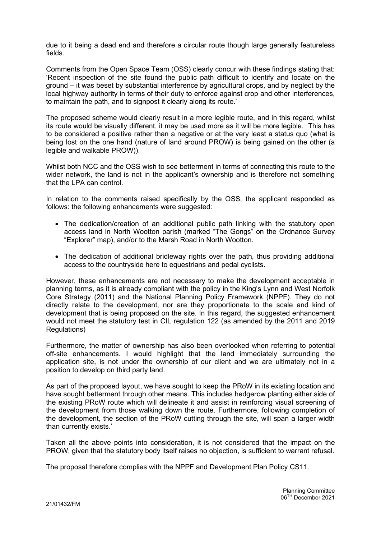due to it being a dead end and therefore a circular route though large generally featureless fields.

Comments from the Open Space Team (OSS) clearly concur with these findings stating that: 'Recent inspection of the site found the public path difficult to identify and locate on the ground – it was beset by substantial interference by agricultural crops, and by neglect by the local highway authority in terms of their duty to enforce against crop and other interferences, to maintain the path, and to signpost it clearly along its route.'

The proposed scheme would clearly result in a more legible route, and in this regard, whilst its route would be visually different, it may be used more as it will be more legible. This has to be considered a positive rather than a negative or at the very least a status quo (what is being lost on the one hand (nature of land around PROW) is being gained on the other (a legible and walkable PROW)).

Whilst both NCC and the OSS wish to see betterment in terms of connecting this route to the wider network, the land is not in the applicant's ownership and is therefore not something that the LPA can control.

In relation to the comments raised specifically by the OSS, the applicant responded as follows: the following enhancements were suggested:

- The dedication/creation of an additional public path linking with the statutory open access land in North Wootton parish (marked "The Gongs" on the Ordnance Survey "Explorer" map), and/or to the Marsh Road in North Wootton.
- The dedication of additional bridleway rights over the path, thus providing additional access to the countryside here to equestrians and pedal cyclists.

However, these enhancements are not necessary to make the development acceptable in planning terms, as it is already compliant with the policy in the King's Lynn and West Norfolk Core Strategy (2011) and the National Planning Policy Framework (NPPF). They do not directly relate to the development, nor are they proportionate to the scale and kind of development that is being proposed on the site. In this regard, the suggested enhancement would not meet the statutory test in CIL regulation 122 (as amended by the 2011 and 2019 Regulations)

Furthermore, the matter of ownership has also been overlooked when referring to potential off-site enhancements. I would highlight that the land immediately surrounding the application site, is not under the ownership of our client and we are ultimately not in a position to develop on third party land.

As part of the proposed layout, we have sought to keep the PRoW in its existing location and have sought betterment through other means. This includes hedgerow planting either side of the existing PRoW route which will delineate it and assist in reinforcing visual screening of the development from those walking down the route. Furthermore, following completion of the development, the section of the PRoW cutting through the site, will span a larger width than currently exists.'

Taken all the above points into consideration, it is not considered that the impact on the PROW, given that the statutory body itself raises no objection, is sufficient to warrant refusal.

The proposal therefore complies with the NPPF and Development Plan Policy CS11.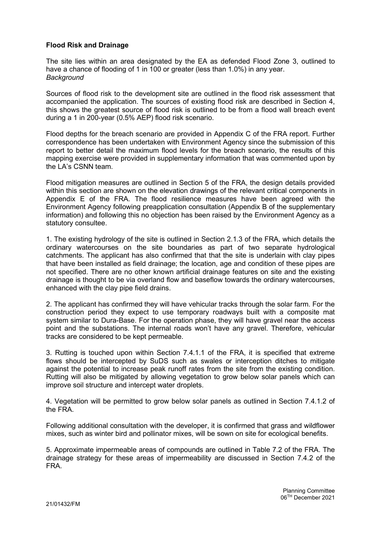# Flood Risk and Drainage

The site lies within an area designated by the EA as defended Flood Zone 3, outlined to have a chance of flooding of 1 in 100 or greater (less than 1.0%) in any year. **Background** 

Sources of flood risk to the development site are outlined in the flood risk assessment that accompanied the application. The sources of existing flood risk are described in Section 4, this shows the greatest source of flood risk is outlined to be from a flood wall breach event during a 1 in 200-year (0.5% AEP) flood risk scenario.

Flood depths for the breach scenario are provided in Appendix C of the FRA report. Further correspondence has been undertaken with Environment Agency since the submission of this report to better detail the maximum flood levels for the breach scenario, the results of this mapping exercise were provided in supplementary information that was commented upon by the LA's CSNN team.

Flood mitigation measures are outlined in Section 5 of the FRA, the design details provided within this section are shown on the elevation drawings of the relevant critical components in Appendix E of the FRA. The flood resilience measures have been agreed with the Environment Agency following preapplication consultation (Appendix B of the supplementary information) and following this no objection has been raised by the Environment Agency as a statutory consultee.

1. The existing hydrology of the site is outlined in Section 2.1.3 of the FRA, which details the ordinary watercourses on the site boundaries as part of two separate hydrological catchments. The applicant has also confirmed that that the site is underlain with clay pipes that have been installed as field drainage; the location, age and condition of these pipes are not specified. There are no other known artificial drainage features on site and the existing drainage is thought to be via overland flow and baseflow towards the ordinary watercourses, enhanced with the clay pipe field drains.

2. The applicant has confirmed they will have vehicular tracks through the solar farm. For the construction period they expect to use temporary roadways built with a composite mat system similar to Dura-Base. For the operation phase, they will have gravel near the access point and the substations. The internal roads won't have any gravel. Therefore, vehicular tracks are considered to be kept permeable.

3. Rutting is touched upon within Section 7.4.1.1 of the FRA, it is specified that extreme flows should be intercepted by SuDS such as swales or interception ditches to mitigate against the potential to increase peak runoff rates from the site from the existing condition. Rutting will also be mitigated by allowing vegetation to grow below solar panels which can improve soil structure and intercept water droplets.

4. Vegetation will be permitted to grow below solar panels as outlined in Section 7.4.1.2 of the FRA.

Following additional consultation with the developer, it is confirmed that grass and wildflower mixes, such as winter bird and pollinator mixes, will be sown on site for ecological benefits.

5. Approximate impermeable areas of compounds are outlined in Table 7.2 of the FRA. The drainage strategy for these areas of impermeability are discussed in Section 7.4.2 of the FRA.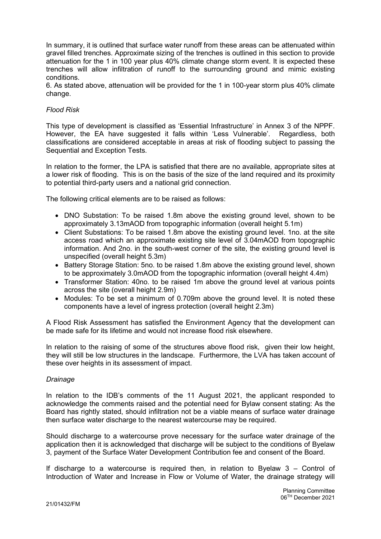In summary, it is outlined that surface water runoff from these areas can be attenuated within gravel filled trenches. Approximate sizing of the trenches is outlined in this section to provide attenuation for the 1 in 100 year plus 40% climate change storm event. It is expected these trenches will allow infiltration of runoff to the surrounding ground and mimic existing conditions.

6. As stated above, attenuation will be provided for the 1 in 100-year storm plus 40% climate change.

## Flood Risk

This type of development is classified as 'Essential Infrastructure' in Annex 3 of the NPPF. However, the EA have suggested it falls within 'Less Vulnerable'. Regardless, both classifications are considered acceptable in areas at risk of flooding subject to passing the Sequential and Exception Tests.

In relation to the former, the LPA is satisfied that there are no available, appropriate sites at a lower risk of flooding. This is on the basis of the size of the land required and its proximity to potential third-party users and a national grid connection.

The following critical elements are to be raised as follows:

- DNO Substation: To be raised 1.8m above the existing ground level, shown to be approximately 3.13mAOD from topographic information (overall height 5.1m)
- Client Substations: To be raised 1.8m above the existing ground level. 1no. at the site access road which an approximate existing site level of 3.04mAOD from topographic information. And 2no. in the south-west corner of the site, the existing ground level is unspecified (overall height 5.3m)
- Battery Storage Station: 5no, to be raised 1.8m above the existing ground level, shown to be approximately 3.0mAOD from the topographic information (overall height 4.4m)
- Transformer Station: 40no. to be raised 1m above the ground level at various points across the site (overall height 2.9m)
- Modules: To be set a minimum of 0.709m above the ground level. It is noted these components have a level of ingress protection (overall height 2.3m)

A Flood Risk Assessment has satisfied the Environment Agency that the development can be made safe for its lifetime and would not increase flood risk elsewhere.

In relation to the raising of some of the structures above flood risk, given their low height, they will still be low structures in the landscape. Furthermore, the LVA has taken account of these over heights in its assessment of impact.

#### Drainage

In relation to the IDB's comments of the 11 August 2021, the applicant responded to acknowledge the comments raised and the potential need for Bylaw consent stating: As the Board has rightly stated, should infiltration not be a viable means of surface water drainage then surface water discharge to the nearest watercourse may be required.

Should discharge to a watercourse prove necessary for the surface water drainage of the application then it is acknowledged that discharge will be subject to the conditions of Byelaw 3, payment of the Surface Water Development Contribution fee and consent of the Board.

If discharge to a watercourse is required then, in relation to Byelaw 3 – Control of Introduction of Water and Increase in Flow or Volume of Water, the drainage strategy will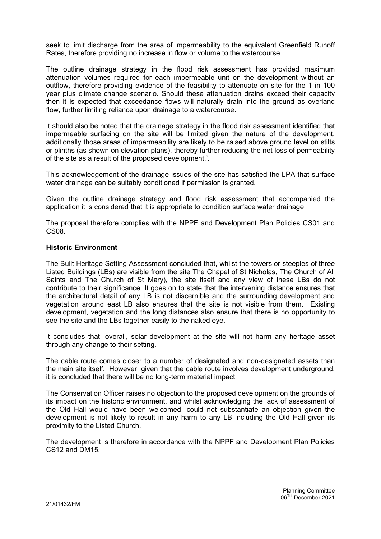seek to limit discharge from the area of impermeability to the equivalent Greenfield Runoff Rates, therefore providing no increase in flow or volume to the watercourse.

The outline drainage strategy in the flood risk assessment has provided maximum attenuation volumes required for each impermeable unit on the development without an outflow, therefore providing evidence of the feasibility to attenuate on site for the 1 in 100 year plus climate change scenario. Should these attenuation drains exceed their capacity then it is expected that exceedance flows will naturally drain into the ground as overland flow, further limiting reliance upon drainage to a watercourse.

It should also be noted that the drainage strategy in the flood risk assessment identified that impermeable surfacing on the site will be limited given the nature of the development, additionally those areas of impermeability are likely to be raised above ground level on stilts or plinths (as shown on elevation plans), thereby further reducing the net loss of permeability of the site as a result of the proposed development.'.

This acknowledgement of the drainage issues of the site has satisfied the LPA that surface water drainage can be suitably conditioned if permission is granted.

Given the outline drainage strategy and flood risk assessment that accompanied the application it is considered that it is appropriate to condition surface water drainage.

The proposal therefore complies with the NPPF and Development Plan Policies CS01 and CS08.

### Historic Environment

The Built Heritage Setting Assessment concluded that, whilst the towers or steeples of three Listed Buildings (LBs) are visible from the site The Chapel of St Nicholas, The Church of All Saints and The Church of St Mary), the site itself and any view of these LBs do not contribute to their significance. It goes on to state that the intervening distance ensures that the architectural detail of any LB is not discernible and the surrounding development and vegetation around east LB also ensures that the site is not visible from them. Existing development, vegetation and the long distances also ensure that there is no opportunity to see the site and the LBs together easily to the naked eye.

It concludes that, overall, solar development at the site will not harm any heritage asset through any change to their setting.

The cable route comes closer to a number of designated and non-designated assets than the main site itself. However, given that the cable route involves development underground, it is concluded that there will be no long-term material impact.

The Conservation Officer raises no objection to the proposed development on the grounds of its impact on the historic environment, and whilst acknowledging the lack of assessment of the Old Hall would have been welcomed, could not substantiate an objection given the development is not likely to result in any harm to any LB including the Old Hall given its proximity to the Listed Church.

The development is therefore in accordance with the NPPF and Development Plan Policies CS12 and DM15.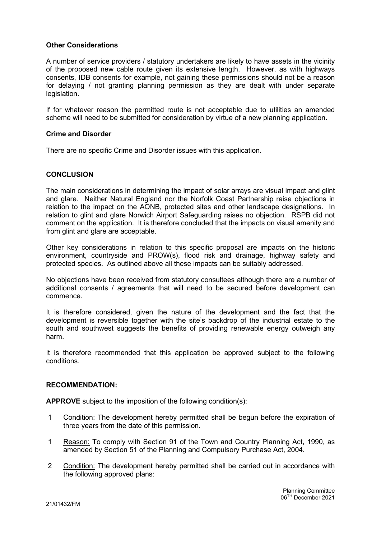## Other Considerations

A number of service providers / statutory undertakers are likely to have assets in the vicinity of the proposed new cable route given its extensive length. However, as with highways consents, IDB consents for example, not gaining these permissions should not be a reason for delaying / not granting planning permission as they are dealt with under separate legislation.

If for whatever reason the permitted route is not acceptable due to utilities an amended scheme will need to be submitted for consideration by virtue of a new planning application.

### Crime and Disorder

There are no specific Crime and Disorder issues with this application.

# **CONCLUSION**

The main considerations in determining the impact of solar arrays are visual impact and glint and glare. Neither Natural England nor the Norfolk Coast Partnership raise objections in relation to the impact on the AONB, protected sites and other landscape designations. In relation to glint and glare Norwich Airport Safeguarding raises no objection. RSPB did not comment on the application. It is therefore concluded that the impacts on visual amenity and from glint and glare are acceptable.

Other key considerations in relation to this specific proposal are impacts on the historic environment, countryside and PROW(s), flood risk and drainage, highway safety and protected species. As outlined above all these impacts can be suitably addressed.

No objections have been received from statutory consultees although there are a number of additional consents / agreements that will need to be secured before development can commence.

It is therefore considered, given the nature of the development and the fact that the development is reversible together with the site's backdrop of the industrial estate to the south and southwest suggests the benefits of providing renewable energy outweigh any harm.

It is therefore recommended that this application be approved subject to the following conditions.

#### RECOMMENDATION:

APPROVE subject to the imposition of the following condition(s):

- 1 Condition: The development hereby permitted shall be begun before the expiration of three years from the date of this permission.
- 1 Reason: To comply with Section 91 of the Town and Country Planning Act, 1990, as amended by Section 51 of the Planning and Compulsory Purchase Act, 2004.
- 2 Condition: The development hereby permitted shall be carried out in accordance with the following approved plans: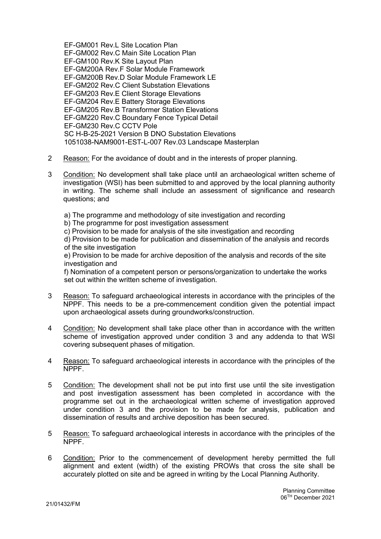EF-GM001 Rev.L Site Location Plan EF-GM002 Rev.C Main Site Location Plan EF-GM100 Rev.K Site Layout Plan EF-GM200A Rev.F Solar Module Framework EF-GM200B Rev.D Solar Module Framework LE EF-GM202 Rev.C Client Substation Elevations EF-GM203 Rev.E Client Storage Elevations EF-GM204 Rev.E Battery Storage Elevations EF-GM205 Rev.B Transformer Station Elevations EF-GM220 Rev.C Boundary Fence Typical Detail EF-GM230 Rev.C CCTV Pole SC H-B-25-2021 Version B DNO Substation Elevations 1051038-NAM9001-EST-L-007 Rev.03 Landscape Masterplan

- 2 Reason: For the avoidance of doubt and in the interests of proper planning.
- 3 Condition: No development shall take place until an archaeological written scheme of investigation (WSI) has been submitted to and approved by the local planning authority in writing. The scheme shall include an assessment of significance and research questions; and
	- a) The programme and methodology of site investigation and recording
	- b) The programme for post investigation assessment
	- c) Provision to be made for analysis of the site investigation and recording

d) Provision to be made for publication and dissemination of the analysis and records of the site investigation

e) Provision to be made for archive deposition of the analysis and records of the site investigation and

f) Nomination of a competent person or persons/organization to undertake the works set out within the written scheme of investigation.

- 3 Reason: To safeguard archaeological interests in accordance with the principles of the NPPF. This needs to be a pre-commencement condition given the potential impact upon archaeological assets during groundworks/construction.
- 4 Condition: No development shall take place other than in accordance with the written scheme of investigation approved under condition 3 and any addenda to that WSI covering subsequent phases of mitigation.
- 4 Reason: To safeguard archaeological interests in accordance with the principles of the NPPF.
- 5 Condition: The development shall not be put into first use until the site investigation and post investigation assessment has been completed in accordance with the programme set out in the archaeological written scheme of investigation approved under condition 3 and the provision to be made for analysis, publication and dissemination of results and archive deposition has been secured.
- 5 Reason: To safeguard archaeological interests in accordance with the principles of the NPPF.
- 6 Condition: Prior to the commencement of development hereby permitted the full alignment and extent (width) of the existing PROWs that cross the site shall be accurately plotted on site and be agreed in writing by the Local Planning Authority.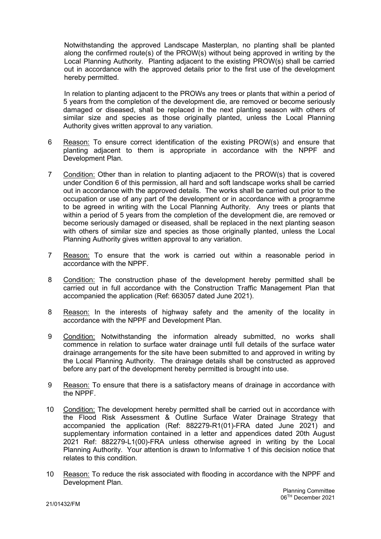Notwithstanding the approved Landscape Masterplan, no planting shall be planted along the confirmed route(s) of the PROW(s) without being approved in writing by the Local Planning Authority. Planting adjacent to the existing PROW(s) shall be carried out in accordance with the approved details prior to the first use of the development hereby permitted.

In relation to planting adjacent to the PROWs any trees or plants that within a period of 5 years from the completion of the development die, are removed or become seriously damaged or diseased, shall be replaced in the next planting season with others of similar size and species as those originally planted, unless the Local Planning Authority gives written approval to any variation.

- 6 Reason: To ensure correct identification of the existing PROW(s) and ensure that planting adjacent to them is appropriate in accordance with the NPPF and Development Plan.
- 7 Condition: Other than in relation to planting adjacent to the PROW(s) that is covered under Condition 6 of this permission, all hard and soft landscape works shall be carried out in accordance with the approved details. The works shall be carried out prior to the occupation or use of any part of the development or in accordance with a programme to be agreed in writing with the Local Planning Authority. Any trees or plants that within a period of 5 years from the completion of the development die, are removed or become seriously damaged or diseased, shall be replaced in the next planting season with others of similar size and species as those originally planted, unless the Local Planning Authority gives written approval to any variation.
- 7 Reason: To ensure that the work is carried out within a reasonable period in accordance with the NPPF.
- 8 Condition: The construction phase of the development hereby permitted shall be carried out in full accordance with the Construction Traffic Management Plan that accompanied the application (Ref: 663057 dated June 2021).
- 8 Reason: In the interests of highway safety and the amenity of the locality in accordance with the NPPF and Development Plan.
- 9 Condition: Notwithstanding the information already submitted, no works shall commence in relation to surface water drainage until full details of the surface water drainage arrangements for the site have been submitted to and approved in writing by the Local Planning Authority. The drainage details shall be constructed as approved before any part of the development hereby permitted is brought into use.
- 9 Reason: To ensure that there is a satisfactory means of drainage in accordance with the NPPF.
- 10 Condition: The development hereby permitted shall be carried out in accordance with the Flood Risk Assessment & Outline Surface Water Drainage Strategy that accompanied the application (Ref: 882279-R1(01)-FRA dated June 2021) and supplementary information contained in a letter and appendices dated 20th August 2021 Ref: 882279-L1(00)-FRA unless otherwise agreed in writing by the Local Planning Authority. Your attention is drawn to Informative 1 of this decision notice that relates to this condition.
- 10 Reason: To reduce the risk associated with flooding in accordance with the NPPF and Development Plan.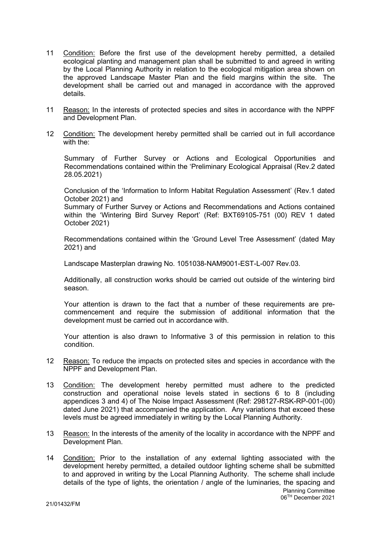- 11 Condition: Before the first use of the development hereby permitted, a detailed ecological planting and management plan shall be submitted to and agreed in writing by the Local Planning Authority in relation to the ecological mitigation area shown on the approved Landscape Master Plan and the field margins within the site. The development shall be carried out and managed in accordance with the approved details.
- 11 Reason: In the interests of protected species and sites in accordance with the NPPF and Development Plan.
- 12 Condition: The development hereby permitted shall be carried out in full accordance with the:

Summary of Further Survey or Actions and Ecological Opportunities and Recommendations contained within the 'Preliminary Ecological Appraisal (Rev.2 dated 28.05.2021)

Conclusion of the 'Information to Inform Habitat Regulation Assessment' (Rev.1 dated October 2021) and

Summary of Further Survey or Actions and Recommendations and Actions contained within the 'Wintering Bird Survey Report' (Ref: BXT69105-751 (00) REV 1 dated October 2021)

Recommendations contained within the 'Ground Level Tree Assessment' (dated May 2021) and

Landscape Masterplan drawing No. 1051038-NAM9001-EST-L-007 Rev.03.

Additionally, all construction works should be carried out outside of the wintering bird season.

Your attention is drawn to the fact that a number of these requirements are precommencement and require the submission of additional information that the development must be carried out in accordance with.

Your attention is also drawn to Informative 3 of this permission in relation to this condition.

- 12 Reason: To reduce the impacts on protected sites and species in accordance with the NPPF and Development Plan.
- 13 Condition: The development hereby permitted must adhere to the predicted construction and operational noise levels stated in sections 6 to 8 (including appendices 3 and 4) of The Noise Impact Assessment (Ref: 298127-RSK-RP-001-(00) dated June 2021) that accompanied the application. Any variations that exceed these levels must be agreed immediately in writing by the Local Planning Authority.
- 13 Reason: In the interests of the amenity of the locality in accordance with the NPPF and Development Plan.
- Planning Committee 06TH December 2021 14 Condition: Prior to the installation of any external lighting associated with the development hereby permitted, a detailed outdoor lighting scheme shall be submitted to and approved in writing by the Local Planning Authority. The scheme shall include details of the type of lights, the orientation / angle of the luminaries, the spacing and